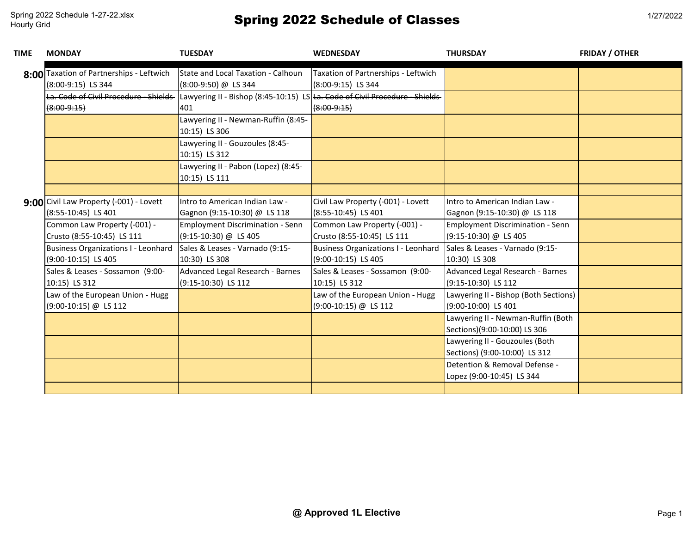| <b>TIME</b> | <b>MONDAY</b>                                                  | <b>TUESDAY</b>                                                                     | <b>WEDNESDAY</b>                                           | <b>THURSDAY</b>                                                    | <b>FRIDAY / OTHER</b> |
|-------------|----------------------------------------------------------------|------------------------------------------------------------------------------------|------------------------------------------------------------|--------------------------------------------------------------------|-----------------------|
|             | 8:00 Taxation of Partnerships - Leftwich<br>(8:00-9:15) LS 344 | State and Local Taxation - Calhoun<br>(8:00-9:50) @ LS 344                         | Taxation of Partnerships - Leftwich<br>(8:00-9:15) LS 344  |                                                                    |                       |
|             | La. Code of Civil Procedure - Shields<br>$(8:00-9:15)$         | Lawyering II - Bishop (8:45-10:15) LS La. Code of Civil Procedure - Shields<br>401 | $(8:00-9:15)$                                              |                                                                    |                       |
|             |                                                                | Lawyering II - Newman-Ruffin (8:45-<br>10:15) LS 306                               |                                                            |                                                                    |                       |
|             |                                                                | Lawyering II - Gouzoules (8:45-<br>10:15) LS 312                                   |                                                            |                                                                    |                       |
|             |                                                                | Lawyering II - Pabon (Lopez) (8:45-<br>10:15) LS 111                               |                                                            |                                                                    |                       |
|             |                                                                |                                                                                    |                                                            |                                                                    |                       |
|             | 9:00 Civil Law Property (-001) - Lovett<br>(8:55-10:45) LS 401 | Intro to American Indian Law -<br>Gagnon (9:15-10:30) @ LS 118                     | Civil Law Property (-001) - Lovett<br>(8:55-10:45) LS 401  | Intro to American Indian Law -<br>Gagnon (9:15-10:30) @ LS 118     |                       |
|             | Common Law Property (-001) -<br>Crusto (8:55-10:45) LS 111     | <b>Employment Discrimination - Senn</b><br>(9:15-10:30) @ LS 405                   | Common Law Property (-001) -<br>Crusto (8:55-10:45) LS 111 | Employment Discrimination - Senn<br>(9:15-10:30) @ LS 405          |                       |
|             | Business Organizations I - Leonhard<br>(9:00-10:15) LS 405     | Sales & Leases - Varnado (9:15-<br>10:30) LS 308                                   | Business Organizations I - Leonhard<br>(9:00-10:15) LS 405 | Sales & Leases - Varnado (9:15-<br>10:30) LS 308                   |                       |
|             | Sales & Leases - Sossamon (9:00-<br>10:15) LS 312              | Advanced Legal Research - Barnes<br>(9:15-10:30) LS 112                            | Sales & Leases - Sossamon (9:00-<br>10:15) LS 312          | Advanced Legal Research - Barnes<br>$(9:15-10:30)$ LS 112          |                       |
|             | Law of the European Union - Hugg<br>(9:00-10:15) @ LS 112      |                                                                                    | Law of the European Union - Hugg<br>(9:00-10:15) @ LS 112  | Lawyering II - Bishop (Both Sections)<br>(9:00-10:00) LS 401       |                       |
|             |                                                                |                                                                                    |                                                            | Lawyering II - Newman-Ruffin (Both<br>Sections)(9:00-10:00) LS 306 |                       |
|             |                                                                |                                                                                    |                                                            | Lawyering II - Gouzoules (Both<br>Sections) (9:00-10:00) LS 312    |                       |
|             |                                                                |                                                                                    |                                                            | Detention & Removal Defense -<br>Lopez (9:00-10:45) LS 344         |                       |
|             |                                                                |                                                                                    |                                                            |                                                                    |                       |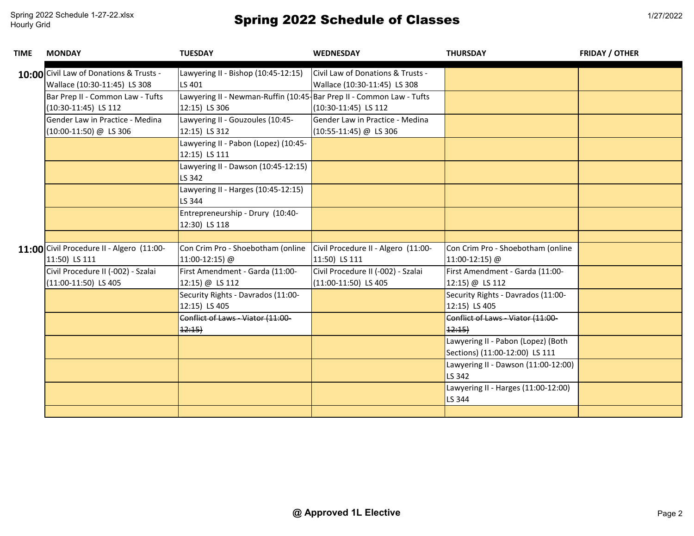| TIME | <b>MONDAY</b>                                                           | <b>TUESDAY</b>                                                                        | <b>WEDNESDAY</b>                                                  | <b>THURSDAY</b>                                                      | <b>FRIDAY / OTHER</b> |
|------|-------------------------------------------------------------------------|---------------------------------------------------------------------------------------|-------------------------------------------------------------------|----------------------------------------------------------------------|-----------------------|
|      | 10:00 Civil Law of Donations & Trusts -<br>Wallace (10:30-11:45) LS 308 | Lawyering II - Bishop (10:45-12:15)<br>LS 401                                         | Civil Law of Donations & Trusts -<br>Wallace (10:30-11:45) LS 308 |                                                                      |                       |
|      | Bar Prep II - Common Law - Tufts<br>(10:30-11:45) LS 112                | Lawyering II - Newman-Ruffin (10:45-Bar Prep II - Common Law - Tufts<br>12:15) LS 306 | (10:30-11:45) LS 112                                              |                                                                      |                       |
|      | Gender Law in Practice - Medina<br>(10:00-11:50) @ LS 306               | Lawyering II - Gouzoules (10:45-<br>12:15) LS 312                                     | Gender Law in Practice - Medina<br>$(10:55-11:45)$ @ LS 306       |                                                                      |                       |
|      |                                                                         | Lawyering II - Pabon (Lopez) (10:45-<br>12:15) LS 111                                 |                                                                   |                                                                      |                       |
|      |                                                                         | Lawyering II - Dawson (10:45-12:15)<br>LS 342                                         |                                                                   |                                                                      |                       |
|      |                                                                         | Lawyering II - Harges (10:45-12:15)<br>LS 344                                         |                                                                   |                                                                      |                       |
|      |                                                                         | Entrepreneurship - Drury (10:40-<br>12:30) LS 118                                     |                                                                   |                                                                      |                       |
|      |                                                                         |                                                                                       |                                                                   |                                                                      |                       |
|      | 11:00 Civil Procedure II - Algero (11:00-<br>11:50) LS 111              | Con Crim Pro - Shoebotham (online<br>11:00-12:15) @                                   | Civil Procedure II - Algero (11:00-<br>11:50) LS 111              | Con Crim Pro - Shoebotham (online<br>11:00-12:15) @                  |                       |
|      | Civil Procedure II (-002) - Szalai<br>(11:00-11:50) LS 405              | First Amendment - Garda (11:00-<br>12:15) @ LS 112                                    | Civil Procedure II (-002) - Szalai<br>(11:00-11:50) LS 405        | First Amendment - Garda (11:00-<br>12:15) @ LS 112                   |                       |
|      |                                                                         | Security Rights - Davrados (11:00-<br>12:15) LS 405                                   |                                                                   | Security Rights - Davrados (11:00-<br>12:15) LS 405                  |                       |
|      |                                                                         | Conflict of Laws - Viator (11:00-<br>12:15                                            |                                                                   | Conflict of Laws - Viator (11:00-<br>12:15                           |                       |
|      |                                                                         |                                                                                       |                                                                   | Lawyering II - Pabon (Lopez) (Both<br>Sections) (11:00-12:00) LS 111 |                       |
|      |                                                                         |                                                                                       |                                                                   | Lawyering II - Dawson (11:00-12:00)<br>LS 342                        |                       |
|      |                                                                         |                                                                                       |                                                                   | Lawyering II - Harges (11:00-12:00)<br>LS 344                        |                       |
|      |                                                                         |                                                                                       |                                                                   |                                                                      |                       |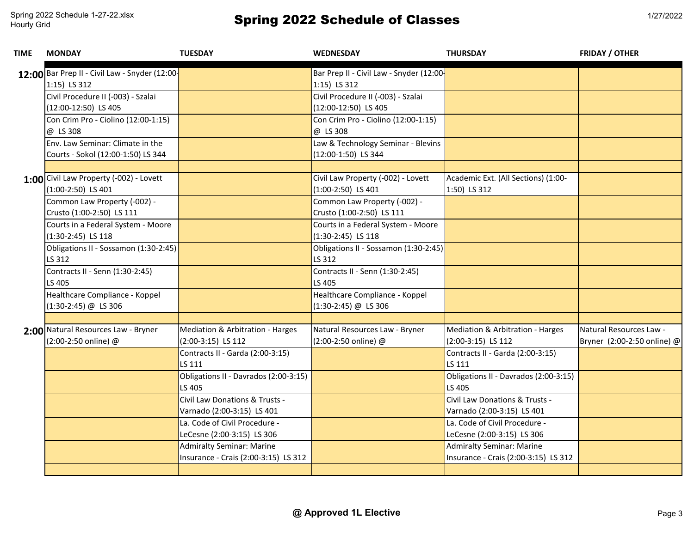| TIME | <b>MONDAY</b>                                 | <b>TUESDAY</b>                        | <b>WEDNESDAY</b>                         | <b>THURSDAY</b>                       | <b>FRIDAY / OTHER</b>       |
|------|-----------------------------------------------|---------------------------------------|------------------------------------------|---------------------------------------|-----------------------------|
|      | 12:00 Bar Prep II - Civil Law - Snyder (12:00 |                                       | Bar Prep II - Civil Law - Snyder (12:00- |                                       |                             |
|      | 1:15) LS 312                                  |                                       | 1:15) LS 312                             |                                       |                             |
|      | Civil Procedure II (-003) - Szalai            |                                       | Civil Procedure II (-003) - Szalai       |                                       |                             |
|      | (12:00-12:50) LS 405                          |                                       | (12:00-12:50) LS 405                     |                                       |                             |
|      | Con Crim Pro - Ciolino (12:00-1:15)           |                                       | Con Crim Pro - Ciolino (12:00-1:15)      |                                       |                             |
|      | @ LS 308                                      |                                       | @ LS 308                                 |                                       |                             |
|      | Env. Law Seminar: Climate in the              |                                       | Law & Technology Seminar - Blevins       |                                       |                             |
|      | Courts - Sokol (12:00-1:50) LS 344            |                                       | (12:00-1:50) LS 344                      |                                       |                             |
|      |                                               |                                       |                                          |                                       |                             |
|      | 1:00 Civil Law Property (-002) - Lovett       |                                       | Civil Law Property (-002) - Lovett       | Academic Ext. (All Sections) (1:00-   |                             |
|      | $(1:00-2:50)$ LS 401                          |                                       | $(1:00-2:50)$ LS 401                     | 1:50) LS 312                          |                             |
|      | Common Law Property (-002) -                  |                                       | Common Law Property (-002) -             |                                       |                             |
|      | Crusto (1:00-2:50) LS 111                     |                                       | Crusto (1:00-2:50) LS 111                |                                       |                             |
|      | Courts in a Federal System - Moore            |                                       | Courts in a Federal System - Moore       |                                       |                             |
|      | $(1:30-2:45)$ LS 118                          |                                       | $(1:30-2:45)$ LS 118                     |                                       |                             |
|      | Obligations II - Sossamon (1:30-2:45)         |                                       | Obligations II - Sossamon (1:30-2:45)    |                                       |                             |
|      | LS 312                                        |                                       | LS 312                                   |                                       |                             |
|      | Contracts II - Senn (1:30-2:45)               |                                       | Contracts II - Senn (1:30-2:45)          |                                       |                             |
|      | LS 405                                        |                                       | LS 405                                   |                                       |                             |
|      | Healthcare Compliance - Koppel                |                                       | Healthcare Compliance - Koppel           |                                       |                             |
|      | $(1:30-2:45)$ @ LS 306                        |                                       | $(1:30-2:45)$ @ LS 306                   |                                       |                             |
|      |                                               |                                       |                                          |                                       |                             |
|      | 2:00 Natural Resources Law - Bryner           | Mediation & Arbitration - Harges      | Natural Resources Law - Bryner           | Mediation & Arbitration - Harges      | Natural Resources Law -     |
|      | (2:00-2:50 online) @                          | $(2:00-3:15)$ LS 112                  | (2:00-2:50 online) @                     | $(2:00-3:15)$ LS 112                  | Bryner (2:00-2:50 online) @ |
|      |                                               | Contracts II - Garda (2:00-3:15)      |                                          | Contracts II - Garda (2:00-3:15)      |                             |
|      |                                               | LS 111                                |                                          | LS 111                                |                             |
|      |                                               | Obligations II - Davrados (2:00-3:15) |                                          | Obligations II - Davrados (2:00-3:15) |                             |
|      |                                               | LS 405                                |                                          | LS 405                                |                             |
|      |                                               | Civil Law Donations & Trusts -        |                                          | Civil Law Donations & Trusts -        |                             |
|      |                                               | Varnado (2:00-3:15) LS 401            |                                          | Varnado (2:00-3:15) LS 401            |                             |
|      |                                               | La. Code of Civil Procedure -         |                                          | La. Code of Civil Procedure -         |                             |
|      |                                               | LeCesne (2:00-3:15) LS 306            |                                          | LeCesne (2:00-3:15) LS 306            |                             |
|      |                                               | <b>Admiralty Seminar: Marine</b>      |                                          | <b>Admiralty Seminar: Marine</b>      |                             |
|      |                                               | Insurance - Crais (2:00-3:15) LS 312  |                                          | Insurance - Crais (2:00-3:15) LS 312  |                             |
|      |                                               |                                       |                                          |                                       |                             |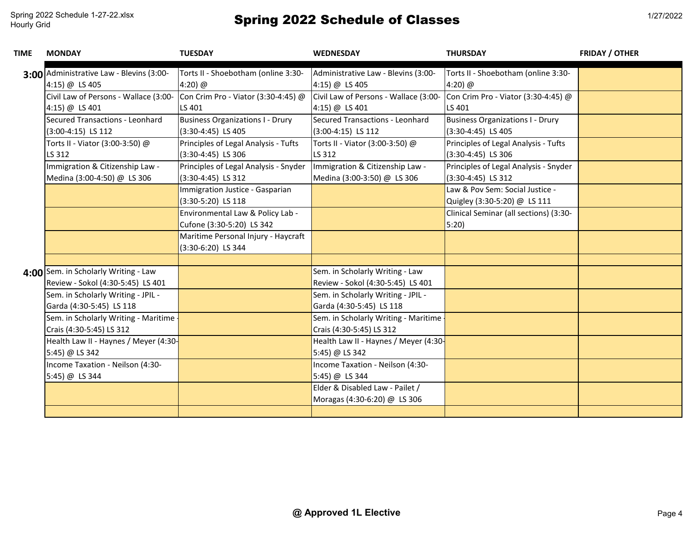| TIME | <b>MONDAY</b>                                                             | <b>TUESDAY</b>                                                  | <b>WEDNESDAY</b>                                                     | <b>THURSDAY</b>                                                 | <b>FRIDAY / OTHER</b> |
|------|---------------------------------------------------------------------------|-----------------------------------------------------------------|----------------------------------------------------------------------|-----------------------------------------------------------------|-----------------------|
|      | 3:00 Administrative Law - Blevins (3:00-<br>4:15) @ LS 405                | Torts II - Shoebotham (online 3:30-<br>4:20) $@$                | Administrative Law - Blevins (3:00-<br>4:15) @ LS 405                | Torts II - Shoebotham (online 3:30-<br>4:20) @                  |                       |
|      | Civil Law of Persons - Wallace (3:00-                                     | Con Crim Pro - Viator (3:30-4:45) @                             | Civil Law of Persons - Wallace (3:00-                                | Con Crim Pro - Viator (3:30-4:45) @                             |                       |
|      | 4:15) @ LS 401                                                            | LS 401                                                          | 4:15) @ LS 401                                                       | LS 401                                                          |                       |
|      | Secured Transactions - Leonhard<br>$(3:00-4:15)$ LS 112                   | <b>Business Organizations I - Drury</b><br>$(3:30-4:45)$ LS 405 | Secured Transactions - Leonhard<br>$(3:00-4:15)$ LS 112              | <b>Business Organizations I - Drury</b><br>$(3:30-4:45)$ LS 405 |                       |
|      | Torts II - Viator (3:00-3:50) @<br>LS 312                                 | Principles of Legal Analysis - Tufts<br>$(3:30-4:45)$ LS 306    | Torts II - Viator (3:00-3:50) @<br>LS 312                            | Principles of Legal Analysis - Tufts<br>$(3:30-4:45)$ LS 306    |                       |
|      | Immigration & Citizenship Law -<br>Medina (3:00-4:50) @ LS 306            | Principles of Legal Analysis - Snyder<br>$(3:30-4:45)$ LS 312   | Immigration & Citizenship Law -<br>Medina (3:00-3:50) @ LS 306       | Principles of Legal Analysis - Snyder<br>$(3:30-4:45)$ LS 312   |                       |
|      |                                                                           | Immigration Justice - Gasparian<br>(3:30-5:20) LS 118           |                                                                      | Law & Pov Sem: Social Justice -<br>Quigley (3:30-5:20) @ LS 111 |                       |
|      |                                                                           | Environmental Law & Policy Lab -<br>Cufone (3:30-5:20) LS 342   |                                                                      | Clinical Seminar (all sections) (3:30-<br>5:20                  |                       |
|      |                                                                           | Maritime Personal Injury - Haycraft<br>(3:30-6:20) LS 344       |                                                                      |                                                                 |                       |
|      |                                                                           |                                                                 |                                                                      |                                                                 |                       |
|      | 4:00 Sem. in Scholarly Writing - Law<br>Review - Sokol (4:30-5:45) LS 401 |                                                                 | Sem. in Scholarly Writing - Law<br>Review - Sokol (4:30-5:45) LS 401 |                                                                 |                       |
|      | Sem. in Scholarly Writing - JPIL -                                        |                                                                 | Sem. in Scholarly Writing - JPIL -                                   |                                                                 |                       |
|      | Garda (4:30-5:45) LS 118                                                  |                                                                 | Garda (4:30-5:45) LS 118                                             |                                                                 |                       |
|      | Sem. in Scholarly Writing - Maritime                                      |                                                                 | Sem. in Scholarly Writing - Maritime                                 |                                                                 |                       |
|      | Crais (4:30-5:45) LS 312                                                  |                                                                 | Crais (4:30-5:45) LS 312                                             |                                                                 |                       |
|      | Health Law II - Haynes / Meyer (4:30-                                     |                                                                 | Health Law II - Haynes / Meyer (4:30-                                |                                                                 |                       |
|      | 5:45) @ LS 342                                                            |                                                                 | 5:45) @ LS 342                                                       |                                                                 |                       |
|      | Income Taxation - Neilson (4:30-                                          |                                                                 | Income Taxation - Neilson (4:30-                                     |                                                                 |                       |
|      | 5:45) @ LS 344                                                            |                                                                 | 5:45) @ LS 344                                                       |                                                                 |                       |
|      |                                                                           |                                                                 | Elder & Disabled Law - Pailet /<br>Moragas (4:30-6:20) @ LS 306      |                                                                 |                       |
|      |                                                                           |                                                                 |                                                                      |                                                                 |                       |
|      |                                                                           |                                                                 |                                                                      |                                                                 |                       |